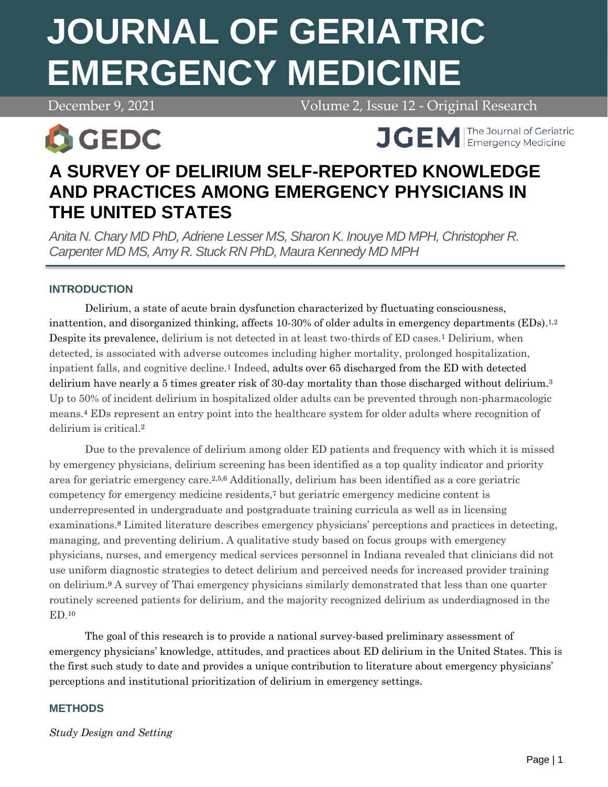# **JOURNAL OF GERIATRIC EMERGENCY MEDICINE**

December 9, 2021 Volume 2, Issue 12 - Original Research



**APRIL 1999 April 7, 2021 Volume 2, 2021 Volume 2, 2021 Volume 2, 2021 Volume 2, 2021 Volume 2, 2021 Volume 2, 30 April 2021 Volume 2, 2021 Volume 2, 2021 Volume 2, 2021 Volume 2, 2021 Volume 2, 2021 Volume 2, 2021 Volume** 

# **A SURVEY OF DELIRIUM SELF-REPORTED KNOWLEDGE AND PRACTICES AMONG EMERGENCY PHYSICIANS IN THE UNITED STATES**

*Anita N. Chary MD PhD, Adriene Lesser MS, Sharon K. Inouye MD MPH, Christopher R. Carpenter MD MS, Amy R. Stuck RN PhD, Maura Kennedy MD MPH*

# **INTRODUCTION**

Delirium, a state of acute brain dysfunction characterized by fluctuating consciousness, inattention, and disorganized thinking, affects 10-30% of older adults in emergency departments (EDs).<sup>1,2</sup> Despite its prevalence, delirium is not detected in at least two-thirds of ED cases.<sup>1</sup> Delirium, when detected, is associated with adverse outcomes including higher mortality, prolonged hospitalization, inpatient falls, and cognitive decline.<sup>1</sup> Indeed, adults over 65 discharged from the ED with detected delirium have nearly a 5 times greater risk of 30-day mortality than those discharged without delirium.<sup>3</sup> Up to 50% of incident delirium in hospitalized older adults can be prevented through non-pharmacologic means.<sup>4</sup> EDs represent an entry point into the healthcare system for older adults where recognition of delirium is critical.<sup>2</sup>

Due to the prevalence of delirium among older ED patients and frequency with which it is missed by emergency physicians, delirium screening has been identified as a top quality indicator and priority area for geriatric emergency care.2,5,6 Additionally, delirium has been identified as a core geriatric competency for emergency medicine residents,<sup>7</sup> but geriatric emergency medicine content is underrepresented in undergraduate and postgraduate training curricula as well as in licensing examinations.<sup>8</sup> Limited literature describes emergency physicians' perceptions and practices in detecting, managing, and preventing delirium. A qualitative study based on focus groups with emergency physicians, nurses, and emergency medical services personnel in Indiana revealed that clinicians did not use uniform diagnostic strategies to detect delirium and perceived needs for increased provider training on delirium.<sup>9</sup> A survey of Thai emergency physicians similarly demonstrated that less than one quarter routinely screened patients for delirium, and the majority recognized delirium as underdiagnosed in the ED.<sup>10</sup>

The goal of this research is to provide a national survey-based preliminary assessment of emergency physicians' knowledge, attitudes, and practices about ED delirium in the United States. This is the first such study to date and provides a unique contribution to literature about emergency physicians' perceptions and institutional prioritization of delirium in emergency settings.

# **METHODS**

*Study Design and Setting*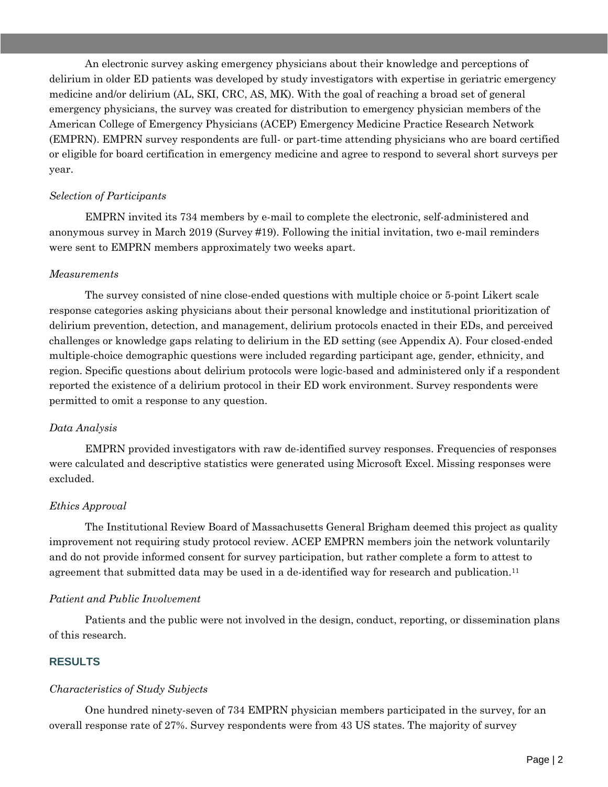An electronic survey asking emergency physicians about their knowledge and perceptions of delirium in older ED patients was developed by study investigators with expertise in geriatric emergency medicine and/or delirium (AL, SKI, CRC, AS, MK). With the goal of reaching a broad set of general emergency physicians, the survey was created for distribution to emergency physician members of the American College of Emergency Physicians (ACEP) Emergency Medicine Practice Research Network (EMPRN). EMPRN survey respondents are full- or part-time attending physicians who are board certified or eligible for board certification in emergency medicine and agree to respond to several short surveys per year.

#### *Selection of Participants*

EMPRN invited its 734 members by e-mail to complete the electronic, self-administered and anonymous survey in March 2019 (Survey #19). Following the initial invitation, two e-mail reminders were sent to EMPRN members approximately two weeks apart.

#### *Measurements*

The survey consisted of nine close-ended questions with multiple choice or 5-point Likert scale response categories asking physicians about their personal knowledge and institutional prioritization of delirium prevention, detection, and management, delirium protocols enacted in their EDs, and perceived challenges or knowledge gaps relating to delirium in the ED setting (see Appendix A). Four closed-ended multiple-choice demographic questions were included regarding participant age, gender, ethnicity, and region. Specific questions about delirium protocols were logic-based and administered only if a respondent reported the existence of a delirium protocol in their ED work environment. Survey respondents were permitted to omit a response to any question.

# *Data Analysis*

EMPRN provided investigators with raw de-identified survey responses. Frequencies of responses were calculated and descriptive statistics were generated using Microsoft Excel. Missing responses were excluded.

# *Ethics Approval*

The Institutional Review Board of Massachusetts General Brigham deemed this project as quality improvement not requiring study protocol review. ACEP EMPRN members join the network voluntarily and do not provide informed consent for survey participation, but rather complete a form to attest to agreement that submitted data may be used in a de-identified way for research and publication.<sup>11</sup>

# *Patient and Public Involvement*

Patients and the public were not involved in the design, conduct, reporting, or dissemination plans of this research.

# **RESULTS**

# *Characteristics of Study Subjects*

One hundred ninety-seven of 734 EMPRN physician members participated in the survey, for an overall response rate of 27%. Survey respondents were from 43 US states. The majority of survey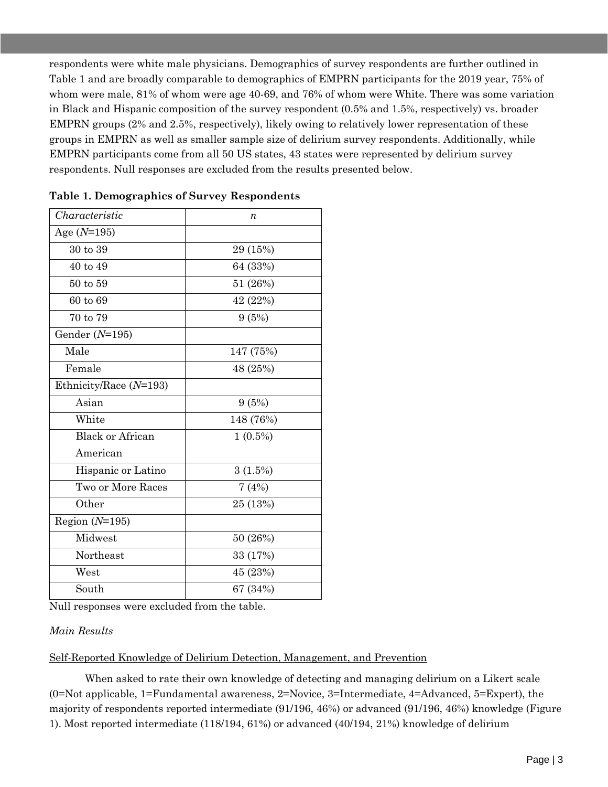respondents were white male physicians. Demographics of survey respondents are further outlined in Table 1 and are broadly comparable to demographics of EMPRN participants for the 2019 year, 75% of whom were male, 81% of whom were age 40-69, and 76% of whom were White. There was some variation in Black and Hispanic composition of the survey respondent (0.5% and 1.5%, respectively) vs. broader EMPRN groups (2% and 2.5%, respectively), likely owing to relatively lower representation of these groups in EMPRN as well as smaller sample size of delirium survey respondents. Additionally, while EMPRN participants come from all 50 US states, 43 states were represented by delirium survey respondents. Null responses are excluded from the results presented below.

| Characteristic           | $\boldsymbol{n}$ |
|--------------------------|------------------|
| Age $(N=195)$            |                  |
| 30 to 39                 | 29 (15%)         |
| 40 to 49                 | 64 (33%)         |
| 50 to 59                 | 51 (26%)         |
| 60 to 69                 | 42 (22%)         |
| 70 to 79                 | 9(5%)            |
| Gender $(N=195)$         |                  |
| Male                     | 147 (75%)        |
| Female                   | 48 (25%)         |
| Ethnicity/Race $(N=193)$ |                  |
| Asian                    | 9(5%)            |
| White                    | 148 (76%)        |
| <b>Black or African</b>  | $1(0.5\%)$       |
| American                 |                  |
| Hispanic or Latino       | 3(1.5%)          |
| Two or More Races        | 7(4%)            |
| Other                    | 25 (13%)         |
| Region $(N=195)$         |                  |
| Midwest                  | 50 (26%)         |
| Northeast                | 33 (17%)         |
| West                     | 45 (23%)         |
| South                    | 67 (34%)         |
|                          |                  |

**Table 1. Demographics of Survey Respondents** 

Null responses were excluded from the table.

#### *Main Results*

Self-Reported Knowledge of Delirium Detection, Management, and Prevention

When asked to rate their own knowledge of detecting and managing delirium on a Likert scale (0=Not applicable, 1=Fundamental awareness, 2=Novice, 3=Intermediate, 4=Advanced, 5=Expert), the majority of respondents reported intermediate (91/196, 46%) or advanced (91/196, 46%) knowledge (Figure 1). Most reported intermediate (118/194, 61%) or advanced (40/194, 21%) knowledge of delirium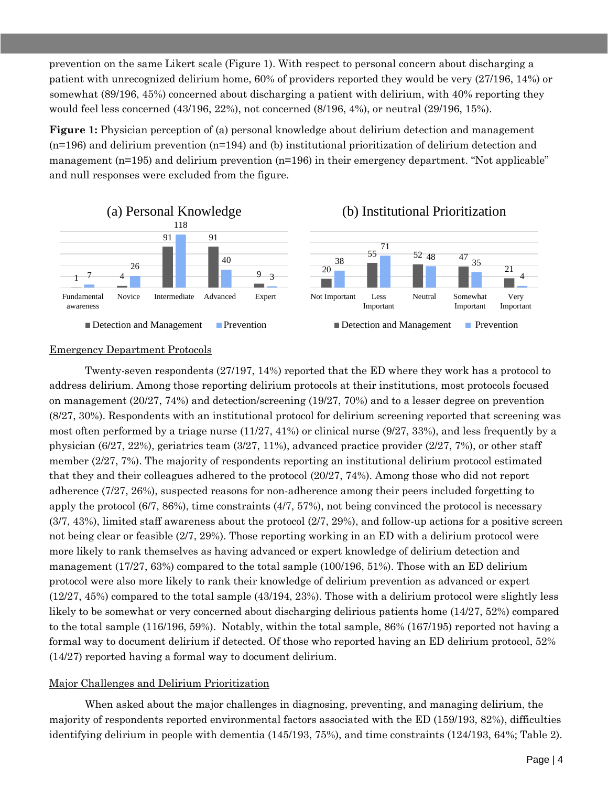prevention on the same Likert scale (Figure 1). With respect to personal concern about discharging a patient with unrecognized delirium home, 60% of providers reported they would be very (27/196, 14%) or somewhat (89/196, 45%) concerned about discharging a patient with delirium, with 40% reporting they would feel less concerned (43/196, 22%), not concerned (8/196, 4%), or neutral (29/196, 15%).

**Figure 1:** Physician perception of (a) personal knowledge about delirium detection and management (n=196) and delirium prevention (n=194) and (b) institutional prioritization of delirium detection and management (n=195) and delirium prevention (n=196) in their emergency department. "Not applicable" and null responses were excluded from the figure.







#### Emergency Department Protocols

Twenty-seven respondents (27/197, 14%) reported that the ED where they work has a protocol to address delirium. Among those reporting delirium protocols at their institutions, most protocols focused on management (20/27, 74%) and detection/screening (19/27, 70%) and to a lesser degree on prevention (8/27, 30%). Respondents with an institutional protocol for delirium screening reported that screening was most often performed by a triage nurse  $(11/27, 41%)$  or clinical nurse  $(9/27, 33%)$ , and less frequently by a physician (6/27, 22%), geriatrics team (3/27, 11%), advanced practice provider (2/27, 7%), or other staff member (2/27, 7%). The majority of respondents reporting an institutional delirium protocol estimated that they and their colleagues adhered to the protocol (20/27, 74%). Among those who did not report adherence (7/27, 26%), suspected reasons for non-adherence among their peers included forgetting to apply the protocol (6/7, 86%), time constraints (4/7, 57%), not being convinced the protocol is necessary (3/7, 43%), limited staff awareness about the protocol (2/7, 29%), and follow-up actions for a positive screen not being clear or feasible (2/7, 29%). Those reporting working in an ED with a delirium protocol were more likely to rank themselves as having advanced or expert knowledge of delirium detection and management (17/27, 63%) compared to the total sample (100/196, 51%). Those with an ED delirium protocol were also more likely to rank their knowledge of delirium prevention as advanced or expert (12/27, 45%) compared to the total sample (43/194, 23%). Those with a delirium protocol were slightly less likely to be somewhat or very concerned about discharging delirious patients home (14/27, 52%) compared to the total sample (116/196, 59%). Notably, within the total sample, 86% (167/195) reported not having a formal way to document delirium if detected. Of those who reported having an ED delirium protocol, 52% (14/27) reported having a formal way to document delirium.

#### Major Challenges and Delirium Prioritization

When asked about the major challenges in diagnosing, preventing, and managing delirium, the majority of respondents reported environmental factors associated with the ED (159/193, 82%), difficulties identifying delirium in people with dementia (145/193, 75%), and time constraints (124/193, 64%; Table 2).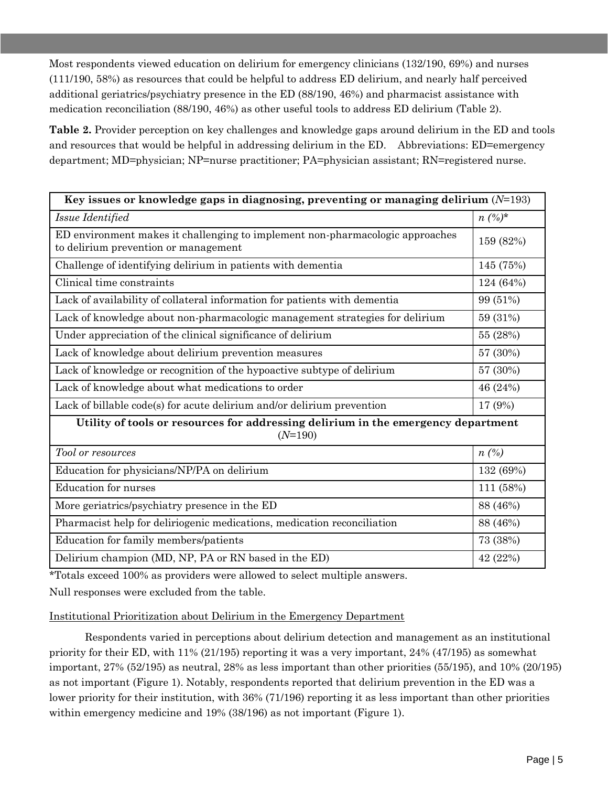Most respondents viewed education on delirium for emergency clinicians (132/190, 69%) and nurses (111/190, 58%) as resources that could be helpful to address ED delirium, and nearly half perceived additional geriatrics/psychiatry presence in the ED (88/190, 46%) and pharmacist assistance with medication reconciliation (88/190, 46%) as other useful tools to address ED delirium (Table 2).

**Table 2.** Provider perception on key challenges and knowledge gaps around delirium in the ED and tools and resources that would be helpful in addressing delirium in the ED. Abbreviations: ED=emergency department; MD=physician; NP=nurse practitioner; PA=physician assistant; RN=registered nurse.

| Key issues or knowledge gaps in diagnosing, preventing or managing delirium $(N=193)$                                 |           |  |
|-----------------------------------------------------------------------------------------------------------------------|-----------|--|
| Issue Identified                                                                                                      | $n(\%)^*$ |  |
| ED environment makes it challenging to implement non-pharmacologic approaches<br>to delirium prevention or management | 159 (82%) |  |
| Challenge of identifying delirium in patients with dementia                                                           | 145 (75%) |  |
| Clinical time constraints                                                                                             | 124 (64%) |  |
| Lack of availability of collateral information for patients with dementia                                             | 99 (51%)  |  |
| Lack of knowledge about non-pharmacologic management strategies for delirium                                          | 59 (31%)  |  |
| Under appreciation of the clinical significance of delirium                                                           | 55 (28%)  |  |
| Lack of knowledge about delirium prevention measures                                                                  | 57 (30%)  |  |
| Lack of knowledge or recognition of the hypoactive subtype of delirium                                                | 57 (30%)  |  |
| Lack of knowledge about what medications to order                                                                     | 46 (24%)  |  |
| Lack of billable code(s) for acute delirium and/or delirium prevention                                                | 17 (9%)   |  |
| Utility of tools or resources for addressing delirium in the emergency department<br>$(N=190)$                        |           |  |
| Tool or resources                                                                                                     | $n(\%)$   |  |
| Education for physicians/NP/PA on delirium                                                                            | 132 (69%) |  |
| <b>Education</b> for nurses                                                                                           | 111 (58%) |  |
| More geriatrics/psychiatry presence in the ED                                                                         | 88 (46%)  |  |
| Pharmacist help for deliriogenic medications, medication reconciliation                                               | 88 (46%)  |  |
| Education for family members/patients                                                                                 | 73 (38%)  |  |
| Delirium champion (MD, NP, PA or RN based in the ED)                                                                  | 42 (22%)  |  |

\*Totals exceed 100% as providers were allowed to select multiple answers.

Null responses were excluded from the table.

Institutional Prioritization about Delirium in the Emergency Department

Respondents varied in perceptions about delirium detection and management as an institutional priority for their ED, with 11% (21/195) reporting it was a very important, 24% (47/195) as somewhat important, 27% (52/195) as neutral, 28% as less important than other priorities (55/195), and 10% (20/195) as not important (Figure 1). Notably, respondents reported that delirium prevention in the ED was a lower priority for their institution, with 36% (71/196) reporting it as less important than other priorities within emergency medicine and 19% (38/196) as not important (Figure 1).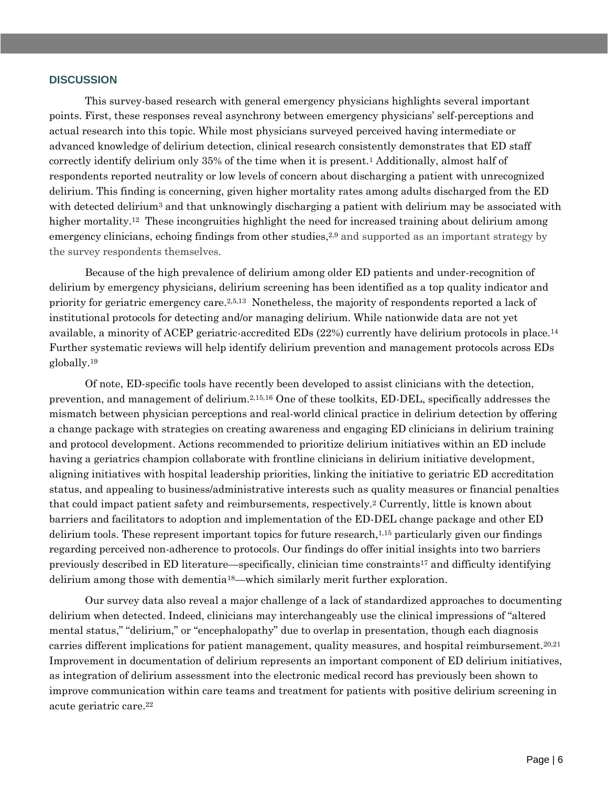#### **DISCUSSION**

This survey-based research with general emergency physicians highlights several important points. First, these responses reveal asynchrony between emergency physicians' self-perceptions and actual research into this topic. While most physicians surveyed perceived having intermediate or advanced knowledge of delirium detection, clinical research consistently demonstrates that ED staff correctly identify delirium only 35% of the time when it is present.<sup>1</sup> Additionally, almost half of respondents reported neutrality or low levels of concern about discharging a patient with unrecognized delirium. This finding is concerning, given higher mortality rates among adults discharged from the ED with detected delirium<sup>3</sup> and that unknowingly discharging a patient with delirium may be associated with higher mortality.<sup>12</sup> These incongruities highlight the need for increased training about delirium among emergency clinicians, echoing findings from other studies,<sup>2,9</sup> and supported as an important strategy by the survey respondents themselves.

Because of the high prevalence of delirium among older ED patients and under-recognition of delirium by emergency physicians, delirium screening has been identified as a top quality indicator and priority for geriatric emergency care.2,5,13 Nonetheless, the majority of respondents reported a lack of institutional protocols for detecting and/or managing delirium. While nationwide data are not yet available, a minority of ACEP geriatric-accredited EDs (22%) currently have delirium protocols in place.<sup>14</sup> Further systematic reviews will help identify delirium prevention and management protocols across EDs globally.<sup>19</sup>

Of note, ED-specific tools have recently been developed to assist clinicians with the detection, prevention, and management of delirium.2,15,16 One of these toolkits, ED-DEL, specifically addresses the mismatch between physician perceptions and real-world clinical practice in delirium detection by offering a change package with strategies on creating awareness and engaging ED clinicians in delirium training and protocol development. Actions recommended to prioritize delirium initiatives within an ED include having a geriatrics champion collaborate with frontline clinicians in delirium initiative development, aligning initiatives with hospital leadership priorities, linking the initiative to geriatric ED accreditation status, and appealing to business/administrative interests such as quality measures or financial penalties that could impact patient safety and reimbursements, respectively.<sup>2</sup> Currently, little is known about barriers and facilitators to adoption and implementation of the ED-DEL change package and other ED delirium tools. These represent important topics for future research, $1,15$  particularly given our findings regarding perceived non-adherence to protocols. Our findings do offer initial insights into two barriers previously described in ED literature—specifically, clinician time constraints<sup>17</sup> and difficulty identifying delirium among those with dementia18—which similarly merit further exploration.

Our survey data also reveal a major challenge of a lack of standardized approaches to documenting delirium when detected. Indeed, clinicians may interchangeably use the clinical impressions of "altered mental status," "delirium," or "encephalopathy" due to overlap in presentation, though each diagnosis carries different implications for patient management, quality measures, and hospital reimbursement.<sup>20,21</sup> Improvement in documentation of delirium represents an important component of ED delirium initiatives, as integration of delirium assessment into the electronic medical record has previously been shown to improve communication within care teams and treatment for patients with positive delirium screening in acute geriatric care.22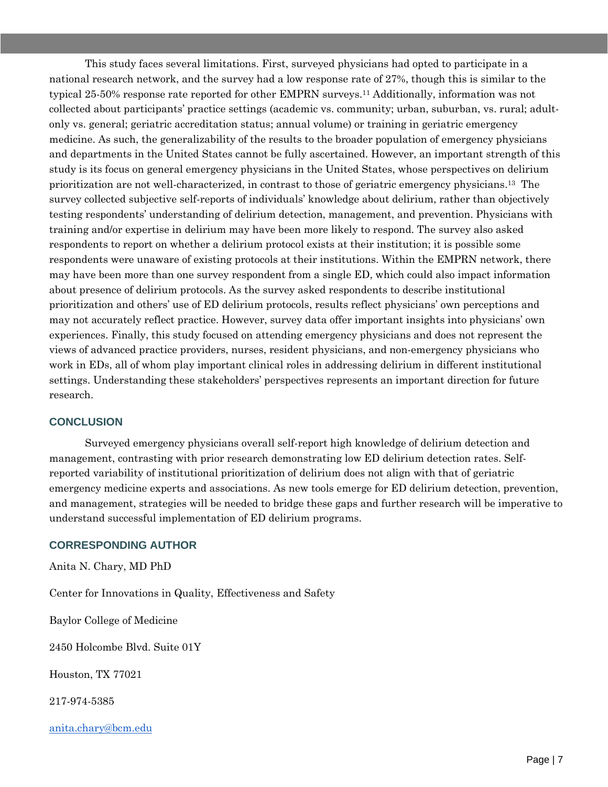This study faces several limitations. First, surveyed physicians had opted to participate in a national research network, and the survey had a low response rate of 27%, though this is similar to the typical 25-50% response rate reported for other EMPRN surveys.<sup>11</sup> Additionally, information was not collected about participants' practice settings (academic vs. community; urban, suburban, vs. rural; adultonly vs. general; geriatric accreditation status; annual volume) or training in geriatric emergency medicine. As such, the generalizability of the results to the broader population of emergency physicians and departments in the United States cannot be fully ascertained. However, an important strength of this study is its focus on general emergency physicians in the United States, whose perspectives on delirium prioritization are not well-characterized, in contrast to those of geriatric emergency physicians.13 The survey collected subjective self-reports of individuals' knowledge about delirium, rather than objectively testing respondents' understanding of delirium detection, management, and prevention. Physicians with training and/or expertise in delirium may have been more likely to respond. The survey also asked respondents to report on whether a delirium protocol exists at their institution; it is possible some respondents were unaware of existing protocols at their institutions. Within the EMPRN network, there may have been more than one survey respondent from a single ED, which could also impact information about presence of delirium protocols. As the survey asked respondents to describe institutional prioritization and others' use of ED delirium protocols, results reflect physicians' own perceptions and may not accurately reflect practice. However, survey data offer important insights into physicians' own experiences. Finally, this study focused on attending emergency physicians and does not represent the views of advanced practice providers, nurses, resident physicians, and non-emergency physicians who work in EDs, all of whom play important clinical roles in addressing delirium in different institutional settings. Understanding these stakeholders' perspectives represents an important direction for future research.

# **CONCLUSION**

Surveyed emergency physicians overall self-report high knowledge of delirium detection and management, contrasting with prior research demonstrating low ED delirium detection rates. Selfreported variability of institutional prioritization of delirium does not align with that of geriatric emergency medicine experts and associations. As new tools emerge for ED delirium detection, prevention, and management, strategies will be needed to bridge these gaps and further research will be imperative to understand successful implementation of ED delirium programs.

# **CORRESPONDING AUTHOR**

Anita N. Chary, MD PhD

Center for Innovations in Quality, Effectiveness and Safety

Baylor College of Medicine

2450 Holcombe Blvd. Suite 01Y

Houston, TX 77021

217-974-5385

[anita.chary@bcm.edu](mailto:anita.chary@bcm.edu)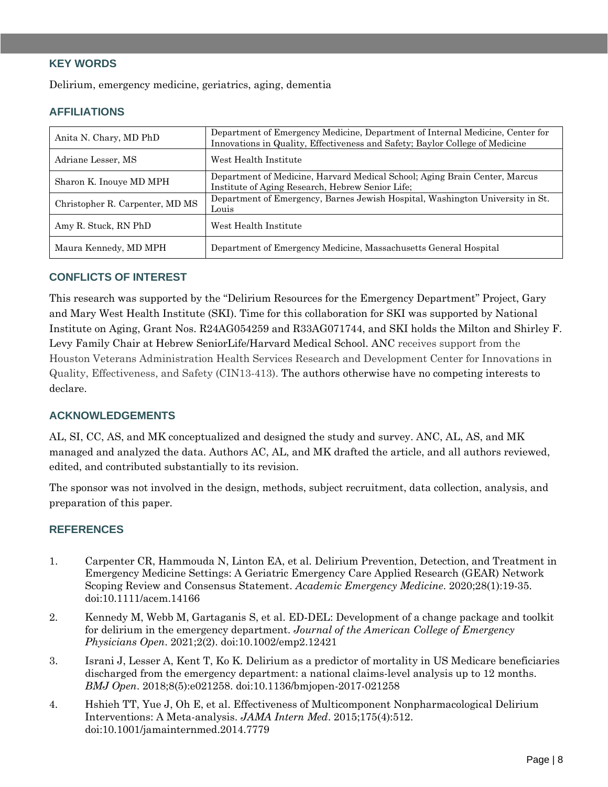# **KEY WORDS**

Delirium, emergency medicine, geriatrics, aging, dementia

# **AFFILIATIONS**

| Anita N. Chary, MD PhD          | Department of Emergency Medicine, Department of Internal Medicine, Center for<br>Innovations in Quality, Effectiveness and Safety; Baylor College of Medicine |
|---------------------------------|---------------------------------------------------------------------------------------------------------------------------------------------------------------|
| Adriane Lesser, MS              | West Health Institute                                                                                                                                         |
| Sharon K. Inouye MD MPH         | Department of Medicine, Harvard Medical School; Aging Brain Center, Marcus<br>Institute of Aging Research, Hebrew Senior Life;                                |
| Christopher R. Carpenter, MD MS | Department of Emergency, Barnes Jewish Hospital, Washington University in St.<br>Louis                                                                        |
| Amy R. Stuck, RN PhD            | West Health Institute                                                                                                                                         |
| Maura Kennedy, MD MPH           | Department of Emergency Medicine, Massachusetts General Hospital                                                                                              |

#### **CONFLICTS OF INTEREST**

This research was supported by the "Delirium Resources for the Emergency Department" Project, Gary and Mary West Health Institute (SKI). Time for this collaboration for SKI was supported by National Institute on Aging, Grant Nos. R24AG054259 and R33AG071744, and SKI holds the Milton and Shirley F. Levy Family Chair at Hebrew SeniorLife/Harvard Medical School. ANC receives support from the Houston Veterans Administration Health Services Research and Development Center for Innovations in Quality, Effectiveness, and Safety (CIN13-413). The authors otherwise have no competing interests to declare.

# **ACKNOWLEDGEMENTS**

AL, SI, CC, AS, and MK conceptualized and designed the study and survey. ANC, AL, AS, and MK managed and analyzed the data. Authors AC, AL, and MK drafted the article, and all authors reviewed, edited, and contributed substantially to its revision.

The sponsor was not involved in the design, methods, subject recruitment, data collection, analysis, and preparation of this paper.

#### **REFERENCES**

- 1. Carpenter CR, Hammouda N, Linton EA, et al. Delirium Prevention, Detection, and Treatment in Emergency Medicine Settings: A Geriatric Emergency Care Applied Research (GEAR) Network Scoping Review and Consensus Statement. *Academic Emergency Medicine*. 2020;28(1):19-35. doi:10.1111/acem.14166
- 2. Kennedy M, Webb M, Gartaganis S, et al. ED-DEL: Development of a change package and toolkit for delirium in the emergency department. *Journal of the American College of Emergency Physicians Open*. 2021;2(2). doi:10.1002/emp2.12421
- 3. Israni J, Lesser A, Kent T, Ko K. Delirium as a predictor of mortality in US Medicare beneficiaries discharged from the emergency department: a national claims-level analysis up to 12 months. *BMJ Open*. 2018;8(5):e021258. doi:10.1136/bmjopen-2017-021258
- 4. Hshieh TT, Yue J, Oh E, et al. Effectiveness of Multicomponent Nonpharmacological Delirium Interventions: A Meta-analysis. *JAMA Intern Med*. 2015;175(4):512. doi:10.1001/jamainternmed.2014.7779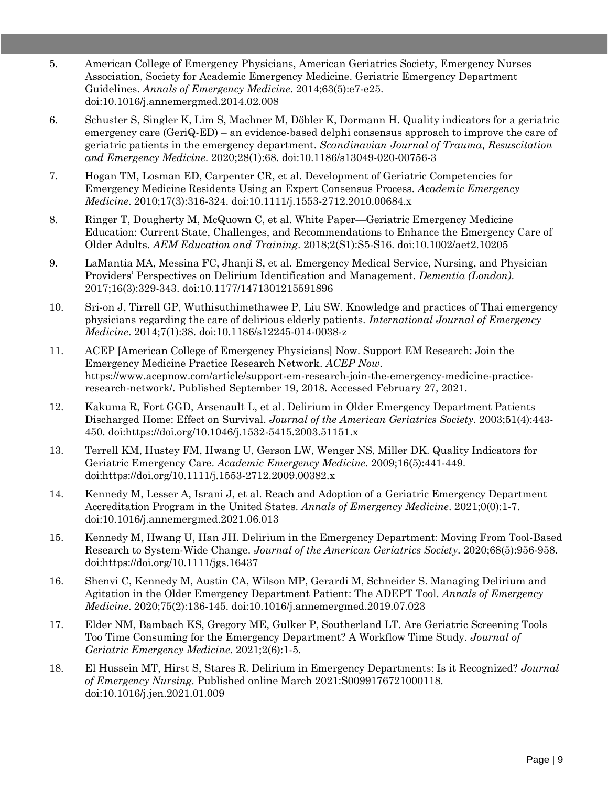- 5. American College of Emergency Physicians, American Geriatrics Society, Emergency Nurses Association, Society for Academic Emergency Medicine. Geriatric Emergency Department Guidelines. *Annals of Emergency Medicine*. 2014;63(5):e7-e25. doi:10.1016/j.annemergmed.2014.02.008
- 6. Schuster S, Singler K, Lim S, Machner M, Döbler K, Dormann H. Quality indicators for a geriatric emergency care (GeriQ-ED) – an evidence-based delphi consensus approach to improve the care of geriatric patients in the emergency department. *Scandinavian Journal of Trauma, Resuscitation and Emergency Medicine*. 2020;28(1):68. doi:10.1186/s13049-020-00756-3
- 7. Hogan TM, Losman ED, Carpenter CR, et al. Development of Geriatric Competencies for Emergency Medicine Residents Using an Expert Consensus Process. *Academic Emergency Medicine*. 2010;17(3):316-324. doi:10.1111/j.1553-2712.2010.00684.x
- 8. Ringer T, Dougherty M, McQuown C, et al. White Paper—Geriatric Emergency Medicine Education: Current State, Challenges, and Recommendations to Enhance the Emergency Care of Older Adults. *AEM Education and Training*. 2018;2(S1):S5-S16. doi:10.1002/aet2.10205
- 9. LaMantia MA, Messina FC, Jhanji S, et al. Emergency Medical Service, Nursing, and Physician Providers' Perspectives on Delirium Identification and Management. *Dementia (London)*. 2017;16(3):329-343. doi:10.1177/1471301215591896
- 10. Sri-on J, Tirrell GP, Wuthisuthimethawee P, Liu SW. Knowledge and practices of Thai emergency physicians regarding the care of delirious elderly patients. *International Journal of Emergency Medicine*. 2014;7(1):38. doi:10.1186/s12245-014-0038-z
- 11. ACEP [American College of Emergency Physicians] Now. Support EM Research: Join the Emergency Medicine Practice Research Network. *ACEP Now*. https://www.acepnow.com/article/support-em-research-join-the-emergency-medicine-practiceresearch-network/. Published September 19, 2018. Accessed February 27, 2021.
- 12. Kakuma R, Fort GGD, Arsenault L, et al. Delirium in Older Emergency Department Patients Discharged Home: Effect on Survival. *Journal of the American Geriatrics Society*. 2003;51(4):443- 450. doi:https://doi.org/10.1046/j.1532-5415.2003.51151.x
- 13. Terrell KM, Hustey FM, Hwang U, Gerson LW, Wenger NS, Miller DK. Quality Indicators for Geriatric Emergency Care. *Academic Emergency Medicine*. 2009;16(5):441-449. doi:https://doi.org/10.1111/j.1553-2712.2009.00382.x
- 14. Kennedy M, Lesser A, Israni J, et al. Reach and Adoption of a Geriatric Emergency Department Accreditation Program in the United States. *Annals of Emergency Medicine*. 2021;0(0):1-7. doi:10.1016/j.annemergmed.2021.06.013
- 15. Kennedy M, Hwang U, Han JH. Delirium in the Emergency Department: Moving From Tool-Based Research to System-Wide Change. *Journal of the American Geriatrics Society*. 2020;68(5):956-958. doi:https://doi.org/10.1111/jgs.16437
- 16. Shenvi C, Kennedy M, Austin CA, Wilson MP, Gerardi M, Schneider S. Managing Delirium and Agitation in the Older Emergency Department Patient: The ADEPT Tool. *Annals of Emergency Medicine*. 2020;75(2):136-145. doi:10.1016/j.annemergmed.2019.07.023
- 17. Elder NM, Bambach KS, Gregory ME, Gulker P, Southerland LT. Are Geriatric Screening Tools Too Time Consuming for the Emergency Department? A Workflow Time Study. *Journal of Geriatric Emergency Medicine*. 2021;2(6):1-5.
- 18. El Hussein MT, Hirst S, Stares R. Delirium in Emergency Departments: Is it Recognized? *Journal of Emergency Nursing*. Published online March 2021:S0099176721000118. doi:10.1016/j.jen.2021.01.009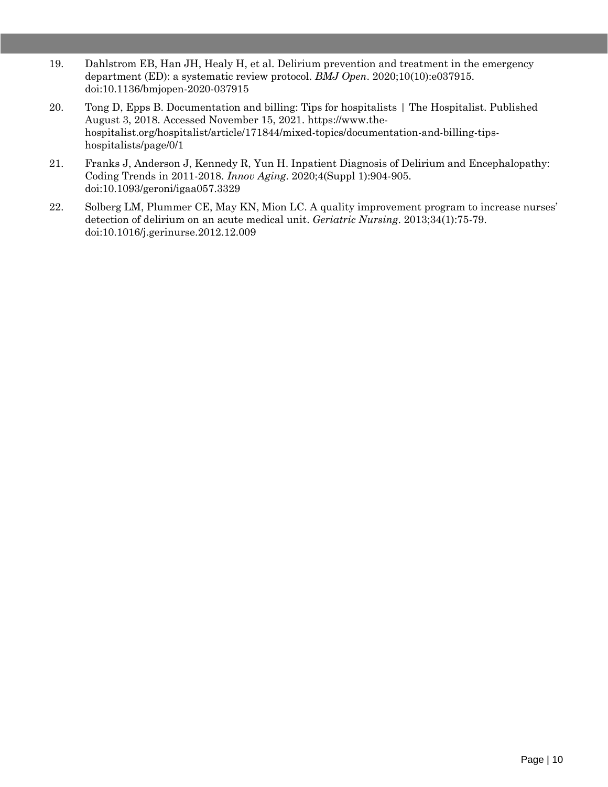- 19. Dahlstrom EB, Han JH, Healy H, et al. Delirium prevention and treatment in the emergency department (ED): a systematic review protocol. *BMJ Open*. 2020;10(10):e037915. doi:10.1136/bmjopen-2020-037915
- 20. Tong D, Epps B. Documentation and billing: Tips for hospitalists | The Hospitalist. Published August 3, 2018. Accessed November 15, 2021. https://www.thehospitalist.org/hospitalist/article/171844/mixed-topics/documentation-and-billing-tipshospitalists/page/0/1
- 21. Franks J, Anderson J, Kennedy R, Yun H. Inpatient Diagnosis of Delirium and Encephalopathy: Coding Trends in 2011-2018. *Innov Aging*. 2020;4(Suppl 1):904-905. doi:10.1093/geroni/igaa057.3329
- 22. Solberg LM, Plummer CE, May KN, Mion LC. A quality improvement program to increase nurses' detection of delirium on an acute medical unit. *Geriatric Nursing*. 2013;34(1):75-79. doi:10.1016/j.gerinurse.2012.12.009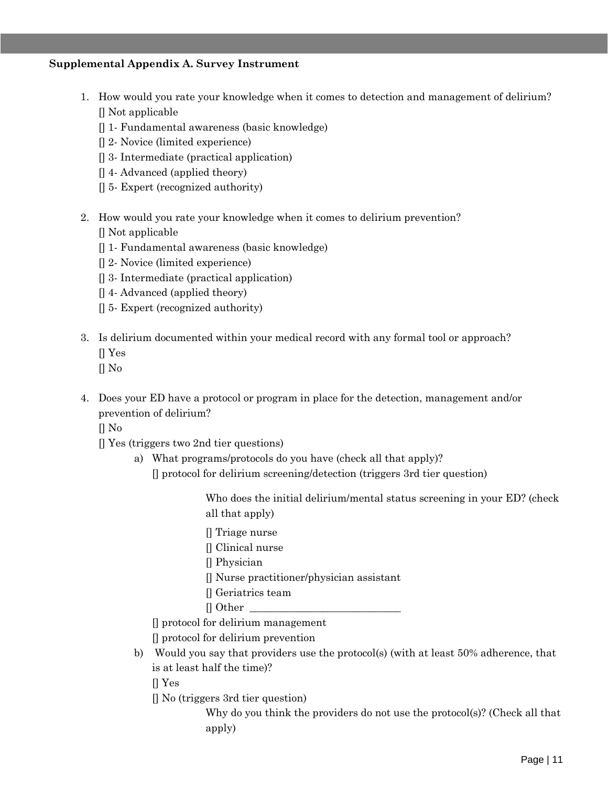#### **Supplemental Appendix A. Survey Instrument**

- 1. How would you rate your knowledge when it comes to detection and management of delirium? [] Not applicable
	- [] 1- Fundamental awareness (basic knowledge)
	- [] 2- Novice (limited experience)
	- [] 3- Intermediate (practical application)
	- [] 4- Advanced (applied theory)
	- [] 5- Expert (recognized authority)
- 2. How would you rate your knowledge when it comes to delirium prevention?

[] Not applicable

- [] 1- Fundamental awareness (basic knowledge)
- [] 2- Novice (limited experience)
- [] 3- Intermediate (practical application)
- [] 4- Advanced (applied theory)
- [] 5- Expert (recognized authority)
- 3. Is delirium documented within your medical record with any formal tool or approach?
	- [] Yes
	- $\prod$  No
- 4. Does your ED have a protocol or program in place for the detection, management and/or prevention of delirium?
	- $\prod$  No
	- [] Yes (triggers two 2nd tier questions)
		- a) What programs/protocols do you have (check all that apply)?
			- [] protocol for delirium screening/detection (triggers 3rd tier question)

Who does the initial delirium/mental status screening in your ED? (check all that apply)

- [] Triage nurse
- [] Clinical nurse
- [] Physician
- [] Nurse practitioner/physician assistant
- [] Geriatrics team
- $\Box$  Other

[] protocol for delirium management

[] protocol for delirium prevention

b) Would you say that providers use the protocol(s) (with at least 50% adherence, that is at least half the time)?

[] Yes

[] No (triggers 3rd tier question)

Why do you think the providers do not use the protocol(s)? (Check all that apply)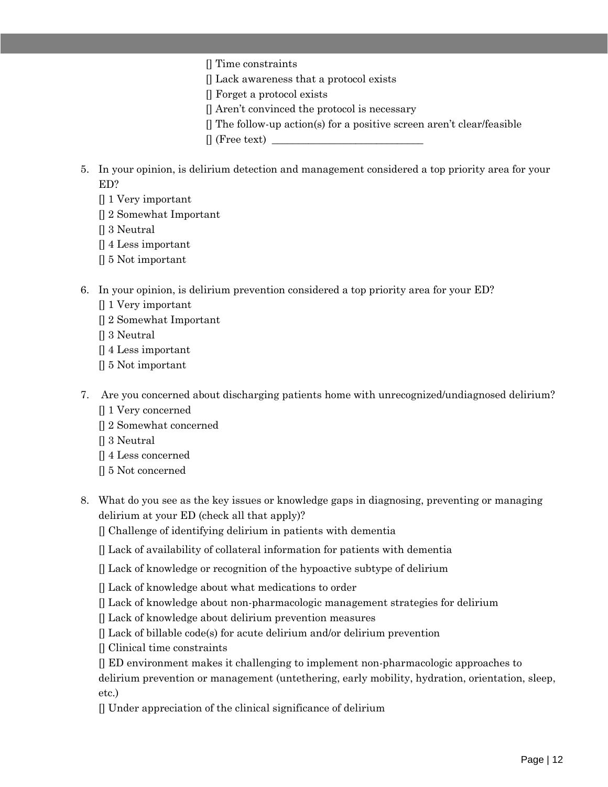- [] Time constraints
- [] Lack awareness that a protocol exists
- [] Forget a protocol exists
- [] Aren't convinced the protocol is necessary
- [] The follow-up action(s) for a positive screen aren't clear/feasible
- $\Box$  (Free text)  $\Box$
- 5. In your opinion, is delirium detection and management considered a top priority area for your ED?
	- [] 1 Very important
	- [] 2 Somewhat Important
	- [] 3 Neutral
	- [] 4 Less important
	- [] 5 Not important
- 6. In your opinion, is delirium prevention considered a top priority area for your ED?
	- [] 1 Very important
	- [] 2 Somewhat Important
	- [] 3 Neutral
	- [] 4 Less important
	- [] 5 Not important
- 7. Are you concerned about discharging patients home with unrecognized/undiagnosed delirium?
	- [] 1 Very concerned
	- [] 2 Somewhat concerned
	- [] 3 Neutral
	- [] 4 Less concerned
	- [] 5 Not concerned
- 8. What do you see as the key issues or knowledge gaps in diagnosing, preventing or managing delirium at your ED (check all that apply)?
	- [] Challenge of identifying delirium in patients with dementia
	- [] Lack of availability of collateral information for patients with dementia
	- [] Lack of knowledge or recognition of the hypoactive subtype of delirium
	- [] Lack of knowledge about what medications to order
	- [] Lack of knowledge about non-pharmacologic management strategies for delirium
	- [] Lack of knowledge about delirium prevention measures
	- $\Box$  Lack of billable code(s) for acute delirium and/or delirium prevention
	- [] Clinical time constraints
	- [] ED environment makes it challenging to implement non-pharmacologic approaches to

delirium prevention or management (untethering, early mobility, hydration, orientation, sleep, etc.)

[] Under appreciation of the clinical significance of delirium